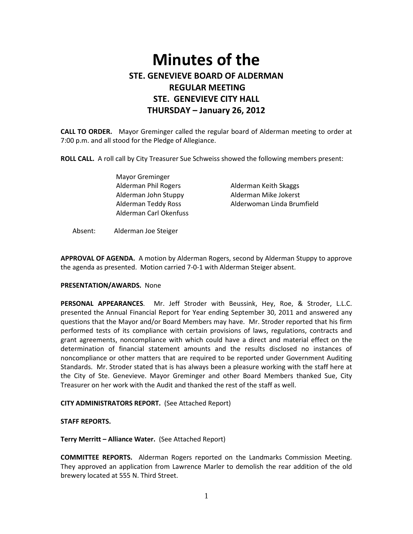# Minutes of the STE. GENEVIEVE BOARD OF ALDERMAN REGULAR MEETING STE. GENEVIEVE CITY HALL THURSDAY – January 26, 2012

CALL TO ORDER. Mayor Greminger called the regular board of Alderman meeting to order at 7:00 p.m. and all stood for the Pledge of Allegiance.

ROLL CALL. A roll call by City Treasurer Sue Schweiss showed the following members present:

 Mayor Greminger Alderman Phil Rogers Alderman Keith Skaggs Alderman John Stuppy Alderman Mike Jokerst Alderman Carl Okenfuss

Alderman Teddy Ross Alderwoman Linda Brumfield

Absent: Alderman Joe Steiger

APPROVAL OF AGENDA. A motion by Alderman Rogers, second by Alderman Stuppy to approve the agenda as presented. Motion carried 7-0-1 with Alderman Steiger absent.

## PRESENTATION/AWARDS. None

PERSONAL APPEARANCES. Mr. Jeff Stroder with Beussink, Hey, Roe, & Stroder, L.L.C. presented the Annual Financial Report for Year ending September 30, 2011 and answered any questions that the Mayor and/or Board Members may have. Mr. Stroder reported that his firm performed tests of its compliance with certain provisions of laws, regulations, contracts and grant agreements, noncompliance with which could have a direct and material effect on the determination of financial statement amounts and the results disclosed no instances of noncompliance or other matters that are required to be reported under Government Auditing Standards. Mr. Stroder stated that is has always been a pleasure working with the staff here at the City of Ste. Genevieve. Mayor Greminger and other Board Members thanked Sue, City Treasurer on her work with the Audit and thanked the rest of the staff as well.

#### CITY ADMINISTRATORS REPORT. (See Attached Report)

#### STAFF REPORTS.

Terry Merritt – Alliance Water. (See Attached Report)

COMMITTEE REPORTS. Alderman Rogers reported on the Landmarks Commission Meeting. They approved an application from Lawrence Marler to demolish the rear addition of the old brewery located at 555 N. Third Street.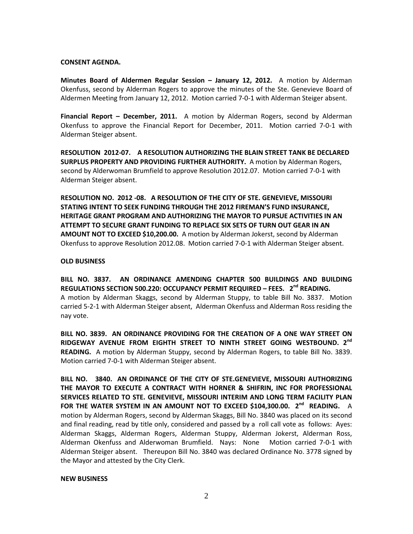## CONSENT AGENDA.

Minutes Board of Aldermen Regular Session – January 12, 2012. A motion by Alderman Okenfuss, second by Alderman Rogers to approve the minutes of the Ste. Genevieve Board of Aldermen Meeting from January 12, 2012. Motion carried 7-0-1 with Alderman Steiger absent.

Financial Report – December, 2011. A motion by Alderman Rogers, second by Alderman Okenfuss to approve the Financial Report for December, 2011. Motion carried 7-0-1 with Alderman Steiger absent.

RESOLUTION 2012-07. A RESOLUTION AUTHORIZING THE BLAIN STREET TANK BE DECLARED SURPLUS PROPERTY AND PROVIDING FURTHER AUTHORITY. A motion by Alderman Rogers, second by Alderwoman Brumfield to approve Resolution 2012.07. Motion carried 7-0-1 with Alderman Steiger absent.

RESOLUTION NO. 2012 -08. A RESOLUTION OF THE CITY OF STE. GENEVIEVE, MISSOURI STATING INTENT TO SEEK FUNDING THROUGH THE 2012 FIREMAN'S FUND INSURANCE, HERITAGE GRANT PROGRAM AND AUTHORIZING THE MAYOR TO PURSUE ACTIVITIES IN AN ATTEMPT TO SECURE GRANT FUNDING TO REPLACE SIX SETS OF TURN OUT GEAR IN AN AMOUNT NOT TO EXCEED \$10,200.00. A motion by Alderman Jokerst, second by Alderman Okenfuss to approve Resolution 2012.08. Motion carried 7-0-1 with Alderman Steiger absent.

## OLD BUSINESS

BILL NO. 3837. AN ORDINANCE AMENDING CHAPTER 500 BUILDINGS AND BUILDING REGULATIONS SECTION 500.220: OCCUPANCY PERMIT REQUIRED – FEES. 2<sup>nd</sup> READING. A motion by Alderman Skaggs, second by Alderman Stuppy, to table Bill No. 3837. Motion carried 5-2-1 with Alderman Steiger absent, Alderman Okenfuss and Alderman Ross residing the nay vote.

BILL NO. 3839. AN ORDINANCE PROVIDING FOR THE CREATION OF A ONE WAY STREET ON RIDGEWAY AVENUE FROM EIGHTH STREET TO NINTH STREET GOING WESTBOUND. 2<sup>nd</sup> READING. A motion by Alderman Stuppy, second by Alderman Rogers, to table Bill No. 3839. Motion carried 7-0-1 with Alderman Steiger absent.

BILL NO. 3840. AN ORDINANCE OF THE CITY OF STE.GENEVIEVE, MISSOURI AUTHORIZING THE MAYOR TO EXECUTE A CONTRACT WITH HORNER & SHIFRIN, INC FOR PROFESSIONAL SERVICES RELATED TO STE. GENEVIEVE, MISSOURI INTERIM AND LONG TERM FACILITY PLAN FOR THE WATER SYSTEM IN AN AMOUNT NOT TO EXCEED \$104,300.00. 2<sup>nd</sup> READING. A motion by Alderman Rogers, second by Alderman Skaggs, Bill No. 3840 was placed on its second and final reading, read by title only, considered and passed by a roll call vote as follows: Ayes: Alderman Skaggs, Alderman Rogers, Alderman Stuppy, Alderman Jokerst, Alderman Ross, Alderman Okenfuss and Alderwoman Brumfield. Nays: None Motion carried 7-0-1 with Alderman Steiger absent. Thereupon Bill No. 3840 was declared Ordinance No. 3778 signed by the Mayor and attested by the City Clerk.

#### NEW BUSINESS